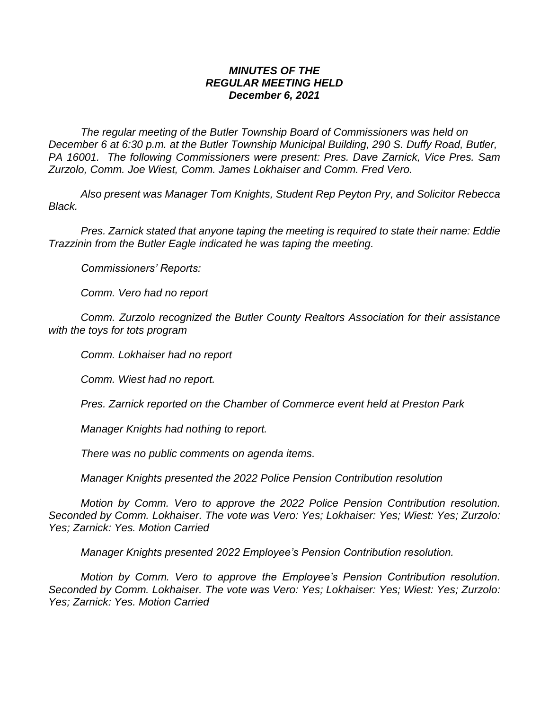## *MINUTES OF THE REGULAR MEETING HELD December 6, 2021*

*The regular meeting of the Butler Township Board of Commissioners was held on December 6 at 6:30 p.m. at the Butler Township Municipal Building, 290 S. Duffy Road, Butler, PA 16001. The following Commissioners were present: Pres. Dave Zarnick, Vice Pres. Sam Zurzolo, Comm. Joe Wiest, Comm. James Lokhaiser and Comm. Fred Vero.*

*Also present was Manager Tom Knights, Student Rep Peyton Pry, and Solicitor Rebecca Black.*

*Pres. Zarnick stated that anyone taping the meeting is required to state their name: Eddie Trazzinin from the Butler Eagle indicated he was taping the meeting.*

*Commissioners' Reports:*

*Comm. Vero had no report*

*Comm. Zurzolo recognized the Butler County Realtors Association for their assistance with the toys for tots program*

*Comm. Lokhaiser had no report*

*Comm. Wiest had no report.*

*Pres. Zarnick reported on the Chamber of Commerce event held at Preston Park*

*Manager Knights had nothing to report.*

*There was no public comments on agenda items.*

*Manager Knights presented the 2022 Police Pension Contribution resolution* 

*Motion by Comm. Vero to approve the 2022 Police Pension Contribution resolution. Seconded by Comm. Lokhaiser. The vote was Vero: Yes; Lokhaiser: Yes; Wiest: Yes; Zurzolo: Yes; Zarnick: Yes. Motion Carried*

*Manager Knights presented 2022 Employee's Pension Contribution resolution.* 

*Motion by Comm. Vero to approve the Employee's Pension Contribution resolution. Seconded by Comm. Lokhaiser. The vote was Vero: Yes; Lokhaiser: Yes; Wiest: Yes; Zurzolo: Yes; Zarnick: Yes. Motion Carried*